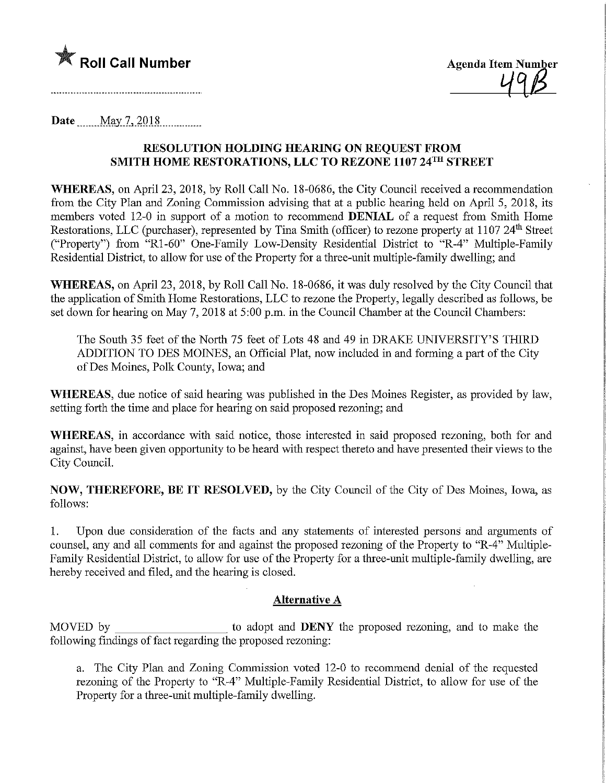

Date  $\text{May } 7, 2018$ 

## RESOLUTION HOLDING HEARING ON REQUEST FROM SMITH HOME RESTORATIONS, LLC TO REZONE 1107 24™ STREET

WHEREAS, on April 23, 2018, by Roll Call No. 18-0686, the City Council received a recommendation from the City Plan and Zoning Commission advismg that at a public hearing held on April 5, 2018, its members voted 12-0 in support of a motion to recommend DENIAL of a request from Smith Home Restorations, LLC (purchaser), represented by Tina Smith (officer) to rezone property at 1107 24<sup>th</sup> Street ("Property") from "Rl-60" One-Family Low-Density Residential District to "R-4" Multiple-Family Residential District, to allow for use of the Property for a three-unit multiple-family dwelling; and

WHEREAS, on April 23, 2018, by Roll Call No. 18-0686, it was duly resolved by the City Council that the application of Smith Home Restorations, LLC to rezone the Property, legally described as follows, be set down for hearing on May 7, 2018 at 5:00 p.m. in the Council Chamber at the Council Chambers:

The South 35 feet of the North 75 feet of Lots 48 and 49 in DRAKE UNIVERSITY'S THIRD ADDITION TO DES MOINES, an Official Plat, now included in and forming a part of the City ofDes Moines, Polk County, Iowa; and

WHEREAS, due notice of said hearing was published in the Des Moines Register, as provided by law, setting forth the time and place for hearing on said proposed rezoning; and

WHEREAS, in accordance with said notice, those interested in said proposed rezoning, both for and against, have been given opportunity to be heard with respect thereto and have presented their views to the City Council.

NOW, THEREFORE, BE IT RESOLVED, by the City Council of the City of Des Moines, Iowa, as follows:

1. Upon due consideration of the facts and any statements of interested persons and arguments of counsel, any and all comments for and against the proposed rezoning of the Property to "R-4" Multiple-Family Residential District, to allow for use of the Property for a three-unit multiple-family dwelling, are hereby received and filed, and the hearing is closed.

## Alternative A

MOVED by to adopt and **DENY** the proposed rezoning, and to make the following findings of fact regarding the proposed rezoning:

a. The City Plan and Zoning Commission voted 12-0 to recommend denial of the requested rezoning of the Property to "R-4" Multiple-Family Residential District, to allow for use of the Property for a three-unit multiple-family dwelling.